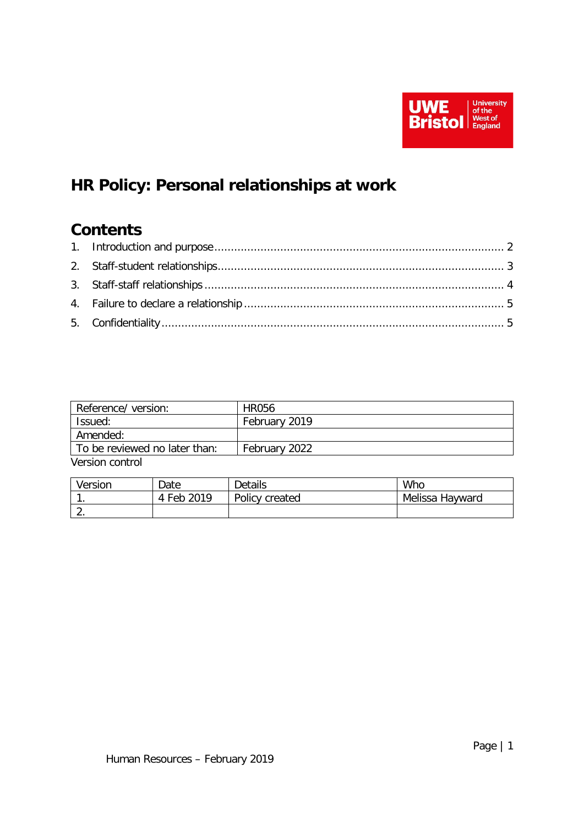

# **HR Policy: Personal relationships at work**

# **Contents**

| Reference/ version:           | <b>HR056</b>  |  |  |  |
|-------------------------------|---------------|--|--|--|
| Issued:                       | February 2019 |  |  |  |
| Amended:                      |               |  |  |  |
| To be reviewed no later than: | February 2022 |  |  |  |
| Version control               |               |  |  |  |

| Version  | Date        | <b>Details</b> | Who             |
|----------|-------------|----------------|-----------------|
|          | 2019<br>Feb | Policy created | Melissa Hayward |
| <u>.</u> |             |                |                 |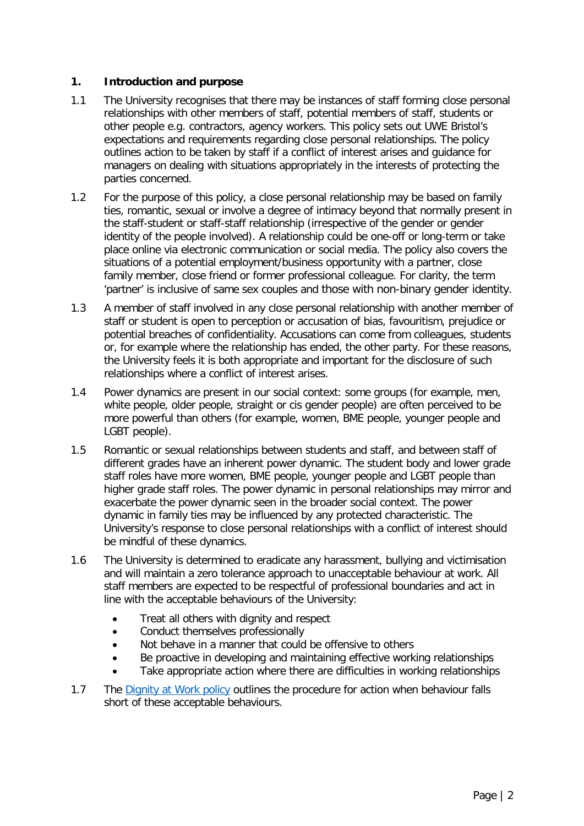#### <span id="page-1-0"></span>**1. Introduction and purpose**

- 1.1 The University recognises that there may be instances of staff forming close personal relationships with other members of staff, potential members of staff, students or other people e.g. contractors, agency workers. This policy sets out UWE Bristol's expectations and requirements regarding close personal relationships. The policy outlines action to be taken by staff if a conflict of interest arises and guidance for managers on dealing with situations appropriately in the interests of protecting the parties concerned.
- 1.2 For the purpose of this policy, a close personal relationship may be based on family ties, romantic, sexual or involve a degree of intimacy beyond that normally present in the staff-student or staff-staff relationship (irrespective of the gender or gender identity of the people involved). A relationship could be one-off or long-term or take place online via electronic communication or social media. The policy also covers the situations of a potential employment/business opportunity with a partner, close family member, close friend or former professional colleague. For clarity, the term 'partner' is inclusive of same sex couples and those with non-binary gender identity.
- 1.3 A member of staff involved in any close personal relationship with another member of staff or student is open to perception or accusation of bias, favouritism, prejudice or potential breaches of confidentiality. Accusations can come from colleagues, students or, for example where the relationship has ended, the other party. For these reasons, the University feels it is both appropriate and important for the disclosure of such relationships where a conflict of interest arises.
- 1.4 Power dynamics are present in our social context: some groups (for example, men, white people, older people, straight or cis gender people) are often perceived to be more powerful than others (for example, women, BME people, younger people and LGBT people).
- 1.5 Romantic or sexual relationships between students and staff, and between staff of different grades have an inherent power dynamic. The student body and lower grade staff roles have more women, BME people, younger people and LGBT people than higher grade staff roles. The power dynamic in personal relationships may mirror and exacerbate the power dynamic seen in the broader social context. The power dynamic in family ties may be influenced by any protected characteristic. The University's response to close personal relationships with a conflict of interest should be mindful of these dynamics.
- 1.6 The University is determined to eradicate any harassment, bullying and victimisation and will maintain a zero tolerance approach to unacceptable behaviour at work. All staff members are expected to be respectful of professional boundaries and act in line with the acceptable behaviours of the University:
	- Treat all others with dignity and respect
	- Conduct themselves professionally
	- Not behave in a manner that could be offensive to others
	- Be proactive in developing and maintaining effective working relationships
	- Take appropriate action where there are difficulties in working relationships
- 1.7 The [Dignity at Work policy](https://intranet.uwe.ac.uk/tasks-guides/Guide/dignity-at-work) outlines the procedure for action when behaviour falls short of these acceptable behaviours.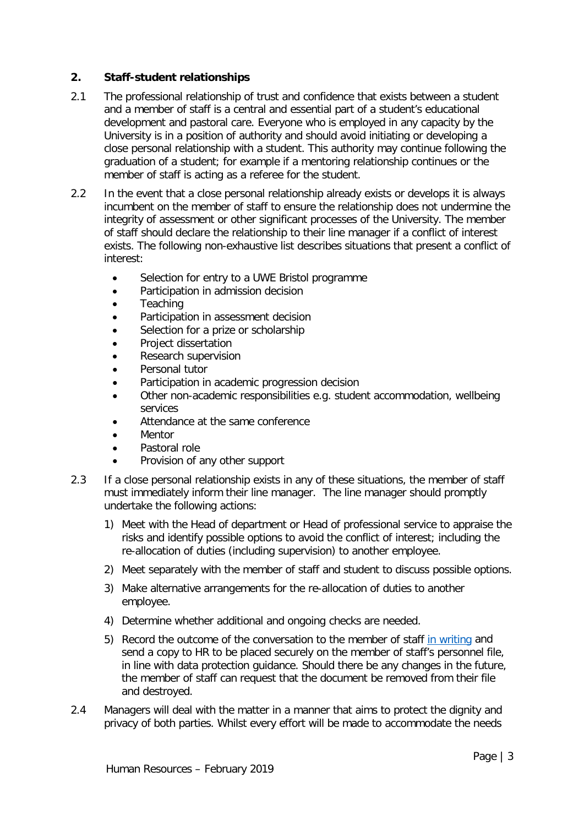#### <span id="page-2-0"></span>**2. Staff-student relationships**

- 2.1 The professional relationship of trust and confidence that exists between a student and a member of staff is a central and essential part of a student's educational development and pastoral care. Everyone who is employed in any capacity by the University is in a position of authority and should avoid initiating or developing a close personal relationship with a student. This authority may continue following the graduation of a student; for example if a mentoring relationship continues or the member of staff is acting as a referee for the student.
- 2.2 In the event that a close personal relationship already exists or develops it is always incumbent on the member of staff to ensure the relationship does not undermine the integrity of assessment or other significant processes of the University. The member of staff should declare the relationship to their line manager if a conflict of interest exists. The following non-exhaustive list describes situations that present a conflict of interest:
	- Selection for entry to a UWE Bristol programme
	- Participation in admission decision
	- **Teaching**
	- Participation in assessment decision
	- Selection for a prize or scholarship
	- Project dissertation
	- Research supervision
	- Personal tutor
	- Participation in academic progression decision
	- Other non-academic responsibilities e.g. student accommodation, wellbeing services
	- Attendance at the same conference
	- **Mentor**
	- Pastoral role
	- Provision of any other support
- 2.3 If a close personal relationship exists in any of these situations, the member of staff must immediately inform their line manager. The line manager should promptly undertake the following actions:
	- 1) Meet with the Head of department or Head of professional service to appraise the risks and identify possible options to avoid the conflict of interest; including the re-allocation of duties (including supervision) to another employee.
	- 2) Meet separately with the member of staff and student to discuss possible options.
	- 3) Make alternative arrangements for the re-allocation of duties to another employee.
	- 4) Determine whether additional and ongoing checks are needed.
	- 5) Record the outcome of the conversation to the member of staff [in writing](https://docs.uwe.ac.uk/ou/hr/IntranetContent/Personal%20relationships%20letter%20template.docx) and send a copy to HR to be placed securely on the member of staff's personnel file, in line with data protection guidance. Should there be any changes in the future, the member of staff can request that the document be removed from their file and destroyed.
- 2.4 Managers will deal with the matter in a manner that aims to protect the dignity and privacy of both parties. Whilst every effort will be made to accommodate the needs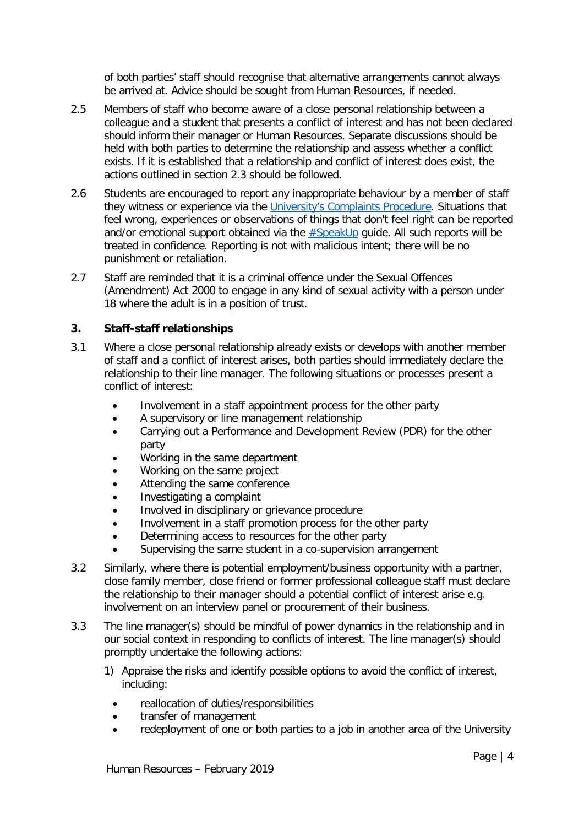of both parties' staff should recognise that alternative arrangements cannot always be arrived at. Advice should be sought from Human Resources, if needed.

- 2.5 Members of staff who become aware of a close personal relationship between a colleague and a student that presents a conflict of interest and has not been declared should inform their manager or Human Resources. Separate discussions should be held with both parties to determine the relationship and assess whether a conflict exists. If it is established that a relationship and conflict of interest does exist, the actions outlined in section 2.3 should be followed.
- 2.6 Students are encouraged to report any inappropriate behaviour by a member of staff they witness or experience via the University's [Complaints Procedure.](https://www1.uwe.ac.uk/about/contactus/complaints.aspx) Situations that feel wrong, experiences or observations of things that don't feel right can be reported and/or emotional support obtained via the [#SpeakUp](https://www1.uwe.ac.uk/students/healthandwellbeing/speakup.aspx) guide. All such reports will be treated in confidence. Reporting is not with malicious intent; there will be no punishment or retaliation.
- 2.7 Staff are reminded that it is a criminal offence under the Sexual Offences (Amendment) Act 2000 to engage in any kind of sexual activity with a person under 18 where the adult is in a position of trust.

#### <span id="page-3-0"></span>**3. Staff-staff relationships**

- 3.1 Where a close personal relationship already exists or develops with another member of staff and a conflict of interest arises, both parties should immediately declare the relationship to their line manager. The following situations or processes present a conflict of interest:
	- Involvement in a staff appointment process for the other party
	- A supervisory or line management relationship
	- Carrying out a Performance and Development Review (PDR) for the other party
	- Working in the same department
	- Working on the same project
	- Attending the same conference
	- Investigating a complaint
	- Involved in disciplinary or grievance procedure
	- Involvement in a staff promotion process for the other party
	- Determining access to resources for the other party
	- Supervising the same student in a co-supervision arrangement
- 3.2 Similarly, where there is potential employment/business opportunity with a partner, close family member, close friend or former professional colleague staff must declare the relationship to their manager should a potential conflict of interest arise e.g. involvement on an interview panel or procurement of their business.
- 3.3 The line manager(s) should be mindful of power dynamics in the relationship and in our social context in responding to conflicts of interest. The line manager(s) should promptly undertake the following actions:
	- 1) Appraise the risks and identify possible options to avoid the conflict of interest, including:
		- reallocation of duties/responsibilities
		- transfer of management
		- redeployment of one or both parties to a job in another area of the University